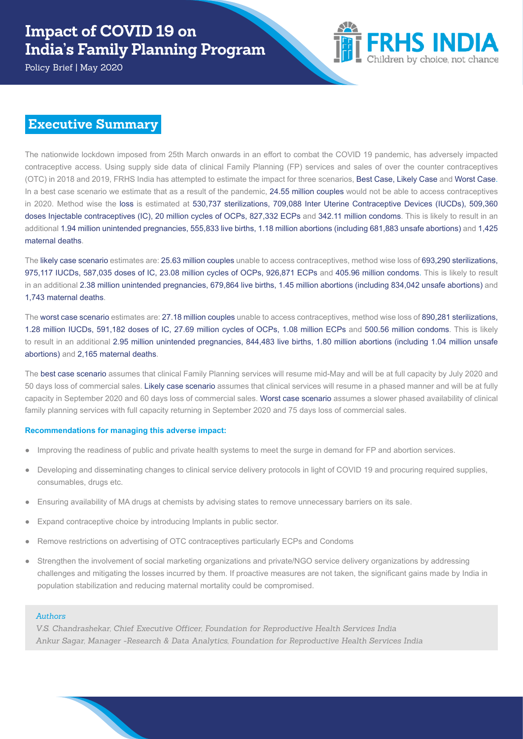Policy Brief | May 2020



### **Executive Summary**

The nationwide lockdown imposed from 25th March onwards in an effort to combat the COVID 19 pandemic, has adversely impacted contraceptive access. Using supply side data of clinical Family Planning (FP) services and sales of over the counter contraceptives (OTC) in 2018 and 2019, FRHS India has attempted to estimate the impact for three scenarios, Best Case, Likely Case and Worst Case. In a best case scenario we estimate that as a result of the pandemic, 24.55 million couples would not be able to access contraceptives in 2020. Method wise the loss is estimated at 530,737 sterilizations, 709,088 Inter Uterine Contraceptive Devices (IUCDs), 509,360 doses Injectable contraceptives (IC), 20 million cycles of OCPs, 827,332 ECPs and 342.11 million condoms. This is likely to result in an additional 1.94 million unintended pregnancies, 555,833 live births, 1.18 million abortions (including 681,883 unsafe abortions) and 1,425 maternal deaths.

The likely case scenario estimates are: 25.63 million couples unable to access contraceptives, method wise loss of 693,290 sterilizations, 975,117 IUCDs, 587,035 doses of IC, 23.08 million cycles of OCPs, 926,871 ECPs and 405.96 million condoms. This is likely to result in an additional 2.38 million unintended pregnancies, 679,864 live births, 1.45 million abortions (including 834,042 unsafe abortions) and 1,743 maternal deaths.

The worst case scenario estimates are: 27.18 million couples unable to access contraceptives, method wise loss of 890,281 sterilizations, 1.28 million IUCDs, 591,182 doses of IC, 27.69 million cycles of OCPs, 1.08 million ECPs and 500.56 million condoms. This is likely to result in an additional 2.95 million unintended pregnancies, 844,483 live births, 1.80 million abortions (including 1.04 million unsafe abortions) and 2,165 maternal deaths.

The best case scenario assumes that clinical Family Planning services will resume mid-May and will be at full capacity by July 2020 and 50 days loss of commercial sales. Likely case scenario assumes that clinical services will resume in a phased manner and will be at fully capacity in September 2020 and 60 days loss of commercial sales. Worst case scenario assumes a slower phased availability of clinical family planning services with full capacity returning in September 2020 and 75 days loss of commercial sales.

#### **Recommendations for managing this adverse impact:**

- Improving the readiness of public and private health systems to meet the surge in demand for FP and abortion services.
- Developing and disseminating changes to clinical service delivery protocols in light of COVID 19 and procuring required supplies, consumables, drugs etc.
- Ensuring availability of MA drugs at chemists by advising states to remove unnecessary barriers on its sale.
- Expand contraceptive choice by introducing Implants in public sector.
- Remove restrictions on advertising of OTC contraceptives particularly ECPs and Condoms
- Strengthen the involvement of social marketing organizations and private/NGO service delivery organizations by addressing challenges and mitigating the losses incurred by them. If proactive measures are not taken, the significant gains made by India in population stabilization and reducing maternal mortality could be compromised.

#### *Authors*

*V.S. Chandrashekar, Chief Executive Officer, Foundation for Reproductive Health Services India Ankur Sagar, Manager -Research & Data Analytics, Foundation for Reproductive Health Services India*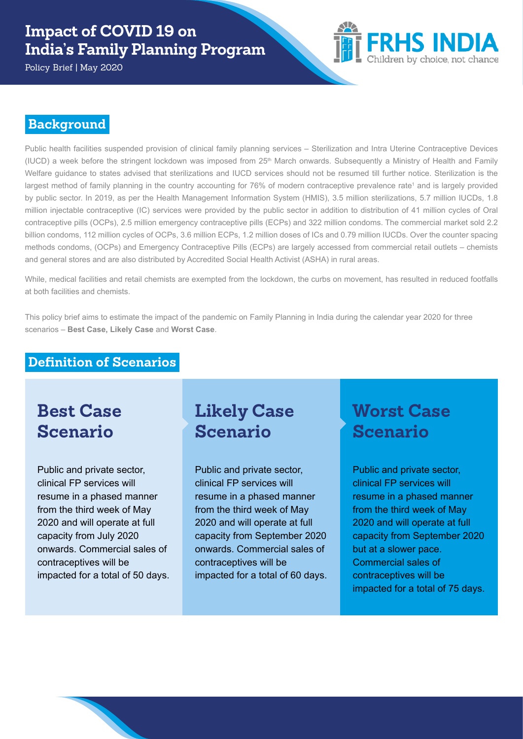Policy Brief | May 2020



### **Background**

Public health facilities suspended provision of clinical family planning services – Sterilization and Intra Uterine Contraceptive Devices (IUCD) a week before the stringent lockdown was imposed from 25<sup>th</sup> March onwards. Subsequently a Ministry of Health and Family Welfare guidance to states advised that sterilizations and IUCD services should not be resumed till further notice. Sterilization is the largest method of family planning in the country accounting for 76% of modern contraceptive prevalence rate<sup>1</sup> and is largely provided by public sector. In 2019, as per the Health Management Information System (HMIS), 3.5 million sterilizations, 5.7 million IUCDs, 1.8 million injectable contraceptive (IC) services were provided by the public sector in addition to distribution of 41 million cycles of Oral contraceptive pills (OCPs), 2.5 million emergency contraceptive pills (ECPs) and 322 million condoms. The commercial market sold 2.2 billion condoms, 112 million cycles of OCPs, 3.6 million ECPs, 1.2 million doses of ICs and 0.79 million IUCDs. Over the counter spacing methods condoms, (OCPs) and Emergency Contraceptive Pills (ECPs) are largely accessed from commercial retail outlets – chemists and general stores and are also distributed by Accredited Social Health Activist (ASHA) in rural areas.

While, medical facilities and retail chemists are exempted from the lockdown, the curbs on movement, has resulted in reduced footfalls at both facilities and chemists.

This policy brief aims to estimate the impact of the pandemic on Family Planning in India during the calendar year 2020 for three scenarios – **Best Case, Likely Case** and **Worst Case**.

#### **Definition of Scenarios**

# **Best Case Scenario**

Public and private sector, clinical FP services will resume in a phased manner from the third week of May 2020 and will operate at full capacity from July 2020 onwards. Commercial sales of contraceptives will be impacted for a total of 50 days.

# **Likely Case Scenario**

Public and private sector, clinical FP services will resume in a phased manner from the third week of May 2020 and will operate at full capacity from September 2020 onwards. Commercial sales of contraceptives will be impacted for a total of 60 days.

# **Worst Case Scenario**

Public and private sector, clinical FP services will resume in a phased manner from the third week of May 2020 and will operate at full capacity from September 2020 but at a slower pace. Commercial sales of contraceptives will be impacted for a total of 75 days.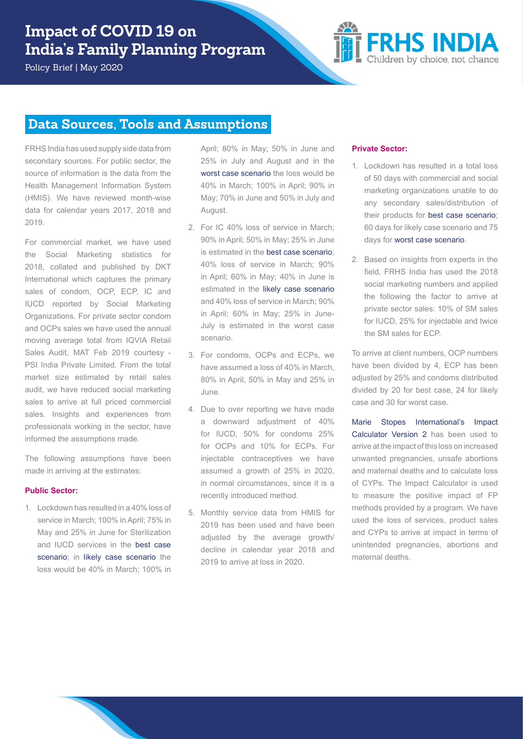Policy Brief | May 2020



### **Data Sources, Tools and Assumptions**

FRHS India has used supply side data from secondary sources. For public sector, the source of information is the data from the Health Management Information System (HMIS). We have reviewed month-wise data for calendar years 2017, 2018 and 2019.

For commercial market, we have used the Social Marketing statistics for 2018, collated and published by DKT International which captures the primary sales of condom, OCP, ECP, IC and IUCD reported by Social Marketing Organizations. For private sector condom and OCPs sales we have used the annual moving average total from IQVIA Retail Sales Audit, MAT Feb 2019 courtesy - PSI India Private Limited. From the total market size estimated by retail sales audit, we have reduced social marketing sales to arrive at full priced commercial sales. Insights and experiences from professionals working in the sector, have informed the assumptions made.

The following assumptions have been made in arriving at the estimates:

#### **Public Sector:**

1. Lockdown has resulted in a 40% loss of service in March; 100% in April; 75% in May and 25% in June for Sterilization and IUCD services in the best case scenario; in likely case scenario the loss would be 40% in March; 100% in

April; 80% in May; 50% in June and 25% in July and August and in the worst case scenario the loss would be 40% in March; 100% in April; 90% in May; 70% in June and 50% in July and August.

- 2. For IC 40% loss of service in March; 90% in April; 50% in May; 25% in June is estimated in the best case scenario; 40% loss of service in March; 90% in April; 60% in May; 40% in June is estimated in the likely case scenario and 40% loss of service in March; 90% in April; 60% in May; 25% in June-July is estimated in the worst case scenario.
- 3. For condoms, OCPs and ECPs, we have assumed a loss of 40% in March, 80% in April, 50% in May and 25% in June.
- 4. Due to over reporting we have made a downward adjustment of 40% for IUCD, 50% for condoms 25% for OCPs and 10% for ECPs. For injectable contraceptives we have assumed a growth of 25% in 2020, in normal circumstances, since it is a recently introduced method.
- 5. Monthly service data from HMIS for 2019 has been used and have been adjusted by the average growth/ decline in calendar year 2018 and 2019 to arrive at loss in 2020.

#### **Private Sector:**

- 1. Lockdown has resulted in a total loss of 50 days with commercial and social marketing organizations unable to do any secondary sales/distribution of their products for best case scenario; 60 days for likely case scenario and 75 days for worst case scenario.
- 2. Based on insights from experts in the field, FRHS India has used the 2018 social marketing numbers and applied the following the factor to arrive at private sector sales: 10% of SM sales for IUCD, 25% for injectable and twice the SM sales for ECP.

To arrive at client numbers, OCP numbers have been divided by 4, ECP has been adjusted by 25% and condoms distributed divided by 20 for best case, 24 for likely case and 30 for worst case.

Marie Stopes International's Impact Calculator Version 2 has been used to arrive at the impact of this loss on increased unwanted pregnancies, unsafe abortions and maternal deaths and to calculate loss of CYPs. The Impact Calculator is used to measure the positive impact of FP methods provided by a program. We have used the loss of services, product sales and CYPs to arrive at impact in terms of unintended pregnancies, abortions and maternal deaths.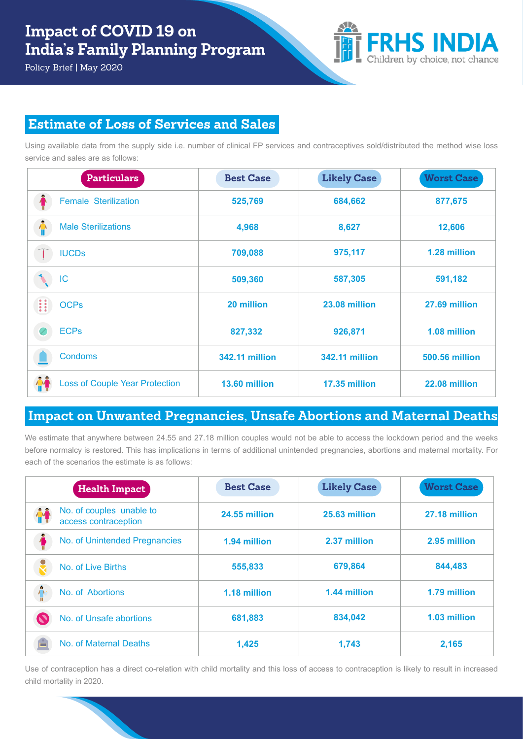Policy Brief | May 2020



## **Estimate of Loss of Services and Sales**

Using available data from the supply side i.e. number of clinical FP services and contraceptives sold/distributed the method wise loss service and sales are as follows:

| <b>Particulars</b>                    | <b>Best Case</b>      | <b>Likely Case</b>    | <b>Worst Case</b>     |
|---------------------------------------|-----------------------|-----------------------|-----------------------|
| <b>Female Sterilization</b>           | 525,769               | 684,662               | 877,675               |
| Ŵ<br><b>Male Sterilizations</b>       | 4,968                 | 8,627                 | 12,606                |
| <b>IUCDs</b>                          | 709,088               | 975,117               | 1.28 million          |
| IC                                    | 509,360               | 587,305               | 591,182               |
| H<br><b>OCPs</b>                      | 20 million            | 23.08 million         | 27.69 million         |
| <b>ECPs</b><br>Ø                      | 827,332               | 926,871               | 1.08 million          |
| <b>Condoms</b>                        | <b>342.11 million</b> | <b>342.11 million</b> | <b>500.56 million</b> |
| <b>Loss of Couple Year Protection</b> | 13.60 million         | 17.35 million         | 22.08 million         |

### **Impact on Unwanted Pregnancies, Unsafe Abortions and Maternal Deaths**

We estimate that anywhere between 24.55 and 27.18 million couples would not be able to access the lockdown period and the weeks before normalcy is restored. This has implications in terms of additional unintended pregnancies, abortions and maternal mortality. For each of the scenarios the estimate is as follows:

| <b>Health Impact</b>                             | <b>Best Case</b> | <b>Likely Case</b> | <b>Worst Case</b> |
|--------------------------------------------------|------------------|--------------------|-------------------|
| No. of couples unable to<br>access contraception | 24.55 million    | 25.63 million      | 27.18 million     |
| No. of Unintended Pregnancies                    | 1.94 million     | 2.37 million       | 2.95 million      |
| No. of Live Births                               | 555,833          | 679,864            | 844,483           |
| No. of Abortions                                 | 1.18 million     | 1.44 million       | 1.79 million      |
| No. of Unsafe abortions                          | 681,883          | 834,042            | 1.03 million      |
| No. of Maternal Deaths                           | 1,425            | 1,743              | 2,165             |

Use of contraception has a direct co-relation with child mortality and this loss of access to contraception is likely to result in increased child mortality in 2020.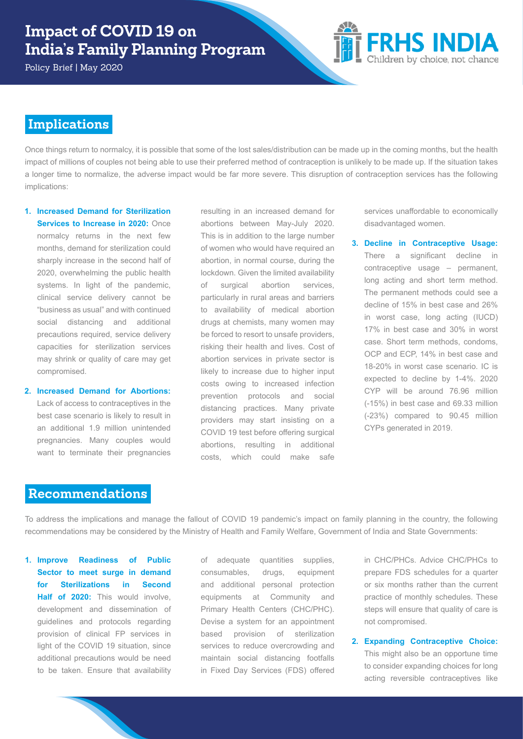Policy Brief | May 2020



### **Implications**

Once things return to normalcy, it is possible that some of the lost sales/distribution can be made up in the coming months, but the health impact of millions of couples not being able to use their preferred method of contraception is unlikely to be made up. If the situation takes a longer time to normalize, the adverse impact would be far more severe. This disruption of contraception services has the following implications:

**1. Increased Demand for Sterilization Services to Increase in 2020: Once** normalcy returns in the next few months, demand for sterilization could sharply increase in the second half of 2020, overwhelming the public health

systems. In light of the pandemic, clinical service delivery cannot be "business as usual" and with continued social distancing and additional precautions required, service delivery capacities for sterilization services may shrink or quality of care may get compromised.

**2. Increased Demand for Abortions:**  Lack of access to contraceptives in the best case scenario is likely to result in an additional 1.9 million unintended pregnancies. Many couples would want to terminate their pregnancies resulting in an increased demand for abortions between May-July 2020. This is in addition to the large number of women who would have required an abortion, in normal course, during the lockdown. Given the limited availability of surgical abortion services, particularly in rural areas and barriers to availability of medical abortion drugs at chemists, many women may be forced to resort to unsafe providers, risking their health and lives. Cost of abortion services in private sector is likely to increase due to higher input costs owing to increased infection prevention protocols and social distancing practices. Many private providers may start insisting on a COVID 19 test before offering surgical abortions, resulting in additional costs, which could make safe

services unaffordable to economically disadvantaged women.

**3. Decline in Contraceptive Usage:**  There a significant decline in contraceptive usage – permanent, long acting and short term method. The permanent methods could see a decline of 15% in best case and 26% in worst case, long acting (IUCD) 17% in best case and 30% in worst case. Short term methods, condoms, OCP and ECP, 14% in best case and 18-20% in worst case scenario. IC is expected to decline by 1-4%. 2020 CYP will be around 76.96 million (-15%) in best case and 69.33 million (-23%) compared to 90.45 million CYPs generated in 2019.

#### **Recommendations**

To address the implications and manage the fallout of COVID 19 pandemic's impact on family planning in the country, the following recommendations may be considered by the Ministry of Health and Family Welfare, Government of India and State Governments:

**1. Improve Readiness of Public Sector to meet surge in demand for Sterilizations in Second Half of 2020:** This would involve, development and dissemination of guidelines and protocols regarding provision of clinical FP services in light of the COVID 19 situation, since additional precautions would be need to be taken. Ensure that availability

of adequate quantities supplies, consumables, drugs, equipment and additional personal protection equipments at Community and Primary Health Centers (CHC/PHC). Devise a system for an appointment based provision of sterilization services to reduce overcrowding and maintain social distancing footfalls in Fixed Day Services (FDS) offered in CHC/PHCs. Advice CHC/PHCs to prepare FDS schedules for a quarter or six months rather than the current practice of monthly schedules. These steps will ensure that quality of care is not compromised.

**2. Expanding Contraceptive Choice:** This might also be an opportune time to consider expanding choices for long acting reversible contraceptives like